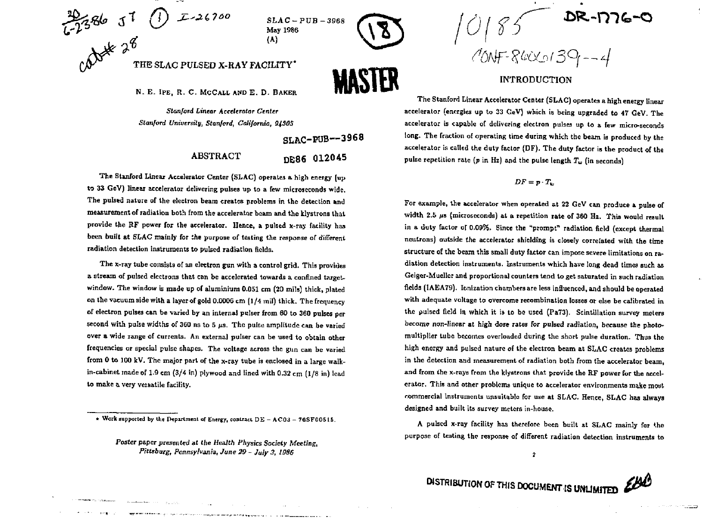

**C ^** 

**SLAC-PUB - May 1986 (A)** 



N. E. IPE, R. C. MCCALL AND E. D. BAKER

*Stanford Linear* **Accelerator** *Center Stanford University, Stanford, California, SJSOS* 

SLAC-POB—3968

# ABSTRACT DE86 012045

**The Stanford Linear Accelerator Center (SLAC) operates a high energy (up**  to 33 GeV) linear accelerator delivering pulses up to a few microseconds wide. **The pulsed nature of the electron beam creates problems in the detection and measurement of radiation both from the accelerator beam and the klystrons that provide the HF power for the accelerator. Hence, a pulsed x-ray facility has been built at SLAC mainly for the purpose** *o{* **testing the response of different radiation detection instruments to pulsed radiation fields.** 

**The x-ray tube consists of an electron gun with a control grid. This provides**  a stream of pulsed electrons that can be accelerated towards a confined target**window. The window is made up of aluminium 0.051 cm (20 mils) thick, plated on the vacuum side with a layer of gold 0.0006 cm (1/4 mil) thick. The frequency of electron pulses can be varied by an internal pulser from 60 to 360 pulses per second with pulse widths of 360 ns to 5** *lis.* **The puke amplitude can be varied over a wide range of currents. An external pulser can be used to obtain other frequencies or special pulse shapes. The voltage across the gun can be varied from 0 to 100 kV. The major part of the x-ray tube is enclosed in a large walkin-cabinet made of 1.9 cm (3/4 in) plywood and lined with 0.32 cm (1/8 in) lead to make a very versatile facility.** 

 $185$ <sup>DR-</sup>D76-0  $70NF - 840C + 39 - 4$ 

#### INTRODUCTION

**The Stanford Linear Accelerator Center (SLAC) operates a high energy linear accelerator (energies up to 33 GeV) which is being upgraded to** *it* **GeV. The accelerator is capable of delivering electron pulses up to a few micro-seconds long. The fraction of operating time during which the beam is produced by the accelerator is called the duty factor (DF). The duty factor is the product of the**  pulse repetition rate ( $p$  in Hz) and the pulse length  $T_w$  (in seconds)

#### $DF = p \cdot T_w$

**For example, the accelerator when operated at 22 GeV can produce a pulse of**  width 2.5  $\mu$ s (microseconds) at a repetition rate of 360 Hz. This would result **in a duty factor or 0.09%, Since the "prompt" radiation field (except thermal neutrons) outside the accelerator shielding is closely correlated with the time structure of the beam this small duty factor can impose severe limitations on radiation detection instruments. Instruments which have long dead times such as Gciger-Muellcr and proportional counters tend to get saturated in such radiation fields (1AEA79). Ionization chambers are less influenced, and should be operated with adequate voltage to overcome recombination losses or else be calibrated in the pulsed field in which it is to be used (PaT3). Scintillation survey meters become non-linear at high dose rates for pulsed radiation, because the photomultiplier tube becomes overloaded during the short pulse duration. Thus the high energy and pulsed nature of the electron beam at SLAC creates problems in the detection and measurement of radiation both from the accelerator beam, and from the x-rays from the klystrons that provide the RF power for the accelerator. This and other problems unique to accelerator environments make moyt commercial instruments unsuitable for use at SLAC. Hence, SLAC has always designed and built its survey meters in-house.** 

**A pulsed x-ray facility has therefore been built at SLAC mainly for '.he purpose of testing the response of different radiation detection instruments to** 

 $\overline{\mathbf{z}}$ 

**DISTRIBUTION OF THIS DOCUMENT IS UNLIMITED** 

<sup>\*</sup> Work supported by the Department of Energy, contract DE - ACO3 - 76SF00515.

**Foster paper presented at** *the Health Physics Society Meeting, Pittsburg, Pennsylvania, June 29* **-** *July 3, 1086*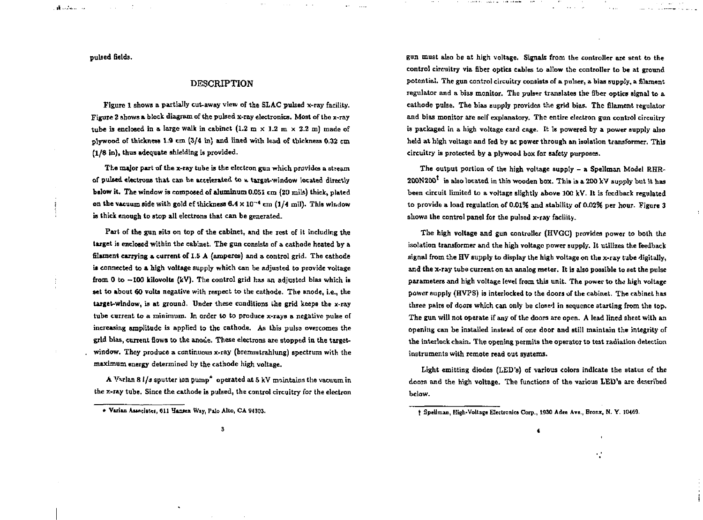**pulsed fields.** 

**College** 

المستحقين الد

## DESCRIPTION

**Figure 1 shows a partially cut-away view of the SLAC pulsed x-ray facility. Figure 2 shows a block diagram of the pulsed x-ray electronics. Most of tho x-ray**  tube is enclosed in a large walk in cabinet  $(1.2 \text{ m} \times 1.2 \text{ m} \times 2.2 \text{ m})$  made of **plywood of thickness 1.9 cm (3/4 in) and lined with lead of thickness 0,32 cm (1/8 in), thus adequate shielding is provided.** 

**The major part of the x-ray tube is the electron gun which provides a stream of pulsed electrons that can be accelerated to & target-window located directly below it. The window is composed of aluminum 0.051 cm (20 mils) thick, plated on the vacuum side with gold ef thickness 6.4 X UP<sup>4</sup> cm (1/4 mil). This window is thick enough to stop all electrons that can be generated.** 

**Fart of the gun sits on top of the cabinet, and the rest of it including the target is enclosed within the cabinet. The gun consists of a cathode heated by a filament carrying a current of 1.5 A (amperes) and a control grid. The cathode is connected to a high voltage supply which can be adjusted to provide voltage from 0 to -100 kilovolts (kV). The control grid has an adjusted bias which is set to about 60 volts negative with respect to the cathode. The anode, i.e., the target-window, is at ground. Under these conditions the grid keeps the x-ray tube current to a minimum. In order to to produce x-rays** *a* **negative pulse of increasing amplitude is applied to the cathode. As this pulse overcomes the grid bias, current flows to the anode. These electrons are stopped in the targetwindow. They produce a continuous x-ray (bremsstrahlung) spectrum with the maximum energy determined by the cathode high voltage.** 

**A Vwlan 8 l/j sputter ion pump\* operated at 5 kV maintains the vacuum in the x-ray tube. Since the cathode is pulsed, the control circuitry for the electron**  **gun must also be at high voltage. Signals from the controller are sent to the control circuitry via fiber optics cables to allow the controller to be at ground**  potential. The gun control circuitry consists of a pulser, a bias supply, a filament **regulator and a bias monitor. The pulser translates the fiber optics signal to a cathode pulse. The bias supply provides the grid bias. The filament regulator and bias monitor are self explanatory. The entire electron gun control circuitry is packaged in a high voltage card cage. It is powered by a power supply also held at high voltage and fed by ac power through an isolation transformer. This circuitry is protected by a plywood box for safety purposes.** 

The output portion of the high voltage supply - a Spellman Model RHR-**20ON20O is also located in this wooden box. This is a 200 kV supply but it has been circuit limited to a voltage slightly above 100 kV. It is feedback regulated to provide a load regulation of 0.01% and stability of 0.02% per hour- Figure 3 shows the control panel for the pulsed x-ray facility.** 

**The high voltage and gun controller (HVGC) provides power to both the isolation transformer and the high voltage power supply. It utilizes the feedback signal from the HV supply to display the high voltage on the x-ray tube digitally, and the x-ray tube current on an analog meter. It is also possible to set the pulse parameters and high voltage level from this unit. The power to the high voltage power supply (HVPS) is interlocked to the doors of the cabinet. The cabinet has three pairs of doors which can only be closed in sequence starting from the top. The gun will not operate if any of the doors are open. A lead lined sheet with an opening can be installed instead of one door and still maintain the integrity of the interlock chain. The opening permits the operator to test radiation detection instruments with remote read out systems.** 

**Light emitting diodes (LED's) of various colors indicate the status of the doors and the high voltage. The functions of the various LED's arc described below.** 

**4** 

41

**<sup>»</sup> Viriu AimdMcl, 611 Hamea Way, Pile Alto, CA 94303.** 

<sup>&</sup>lt;sup>†</sup> Spellman, High-Voltage Electronics Corp., 1930 Adee Ave., Bronx, N. Y. 10469.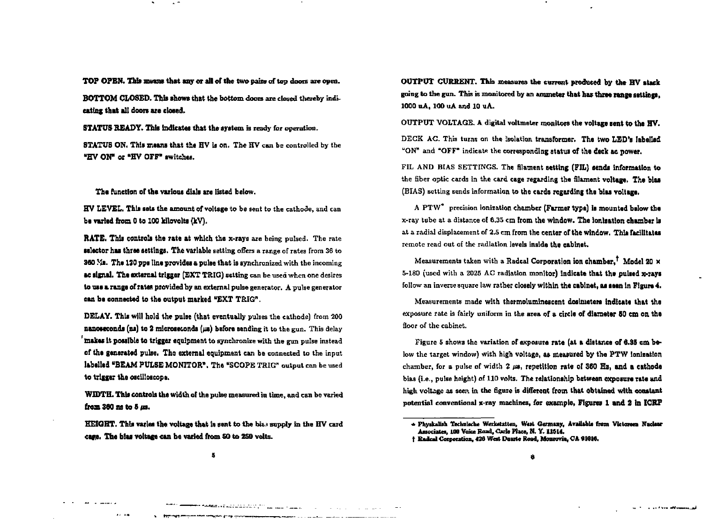**TOP OPEN. This means that any or all of the two pairs of top doors are open.** 

**BOTTOM CLOSED. This shows that the bottom doors are dosed thereby indicating that all doors are closed.** 

**STATUS READY. This indicates that the system is ready for operation.** 

**STATUS ON. This means that the HV is on. The HV can be controlled by the "HV ON" or "HV OFF" switches.** 

**The function of the various dials are listed below.** 

**HV LEVEL. This sets the amount of voltage to be sent to the cathode, and can**  be varied from 0 to 100 kilovolts (kV).

**RATE. This controls the rate at which the x-rays are being pulsed. The rate selector has three settings. The variable setting offers a range of rates from 36 to 360 Ms. The ISO pps line provides a pulse that is synchronized with the incoming ac signal. The external trigger (EXT TRIG) setting can be used when one desires to use a range of rates provided by an external pulse generator. A pulse generator can be connected to the output marked "EXT TRIG".** 

**DELAY. This will hold the pulse (that eventually pulses the cathode) from 200 nanoseconds (ni) to 2 microseconds (j») before sending it to the gun. This delay bakes It possible to trigger equipment to synchronise with the gun pulse instead of the generated pulse. The external equipment can be connected to the input labelled "BEAM PULSE MONITOR". The "SCOPE TRIG" output can be used to trigger the oscilloscope.** 

**WIDTH. This controls the width of the pulse measured in time, and can be varied front 360 ns to 5** *its.* 

**HEIGHT.** This varies the voltage that is sent to the bias supply in the HV card **cage. The bias voltage can be varied from SO to 2S0 volts.** 

**OUTPUT CURRENT. This measures the current produced by the HV stack going to the gun. This is monitored by an ammeter that has three range settings, 1000 uA, 100 uA and 10 uA.** 

**OUTPUT VOLTAGE. A digital voltmeter monitors the voltage sent to the HV.** 

**DECK AC. This turns on the isolation transformer. The two LEO'S labelled "ON" and "OFF" indicate the corresponding status of the deck ac power.** 

**FIL AND BIAS SETTINGS. The filament setting (FIL) tends Information to the fiber optic cards in the card cage regarding the filament voltage. The bias (BIAS) setting sends information to the cards regarding the bias voltage.** 

**A PTW\* precision ionization chamber (Farmer type) is mounted below the x-ray tube at a distance of 6.35 cm from the window. The ionization chamber is at a radial displacement of 2.5 cm from the center of the window. This facilitates remote read out of the radiation levels inside the cabinet.** 

**Measurements taken with a Radcal Corporation ion chamber. Model 20 X 5-180 (used with a 2025 AC radiation monitor) indicate that the pulsed x-rays follow an inverse square law rather closely within the cabinet, as teen In Figure 4.** 

**Measurements made with thermoluminescent dosimeters indicate that the exposure rate is fairly uniform in the area of a circle of diameter 50 cm on the floor of the cabinet.** 

**Figure 5 shows the variation of exposure rate (at a distance of 6.35 cm below the target window) with high voltage, as measured by the PTW ionization chamber, for a pulse of width** *1* **/», repetition rate of 360 Hz, and a cathode bias (i.e., pulse height) of 110 volts. The relationship between exposure rata and high voltage as seen in the figure is different from that obtained with constant potential conventional x-ray machines, for example, Figures 1 and 2 In ICRF** 

the first contract and analysis of the contract of

Statement of the American control and the control of the control of

المستخدمات المستحدث والمنافس المتحدث والمتحدث والمتحدث والمستخدمات

والمستعدات المعا

<sup>\*</sup> Physkalish Technische Werkstatten, West Germany, Available from Victoreen Nuclear Associates, 100 Voice Road, Carlo Place, N.Y. 11514.

**t Ealcd Csipontiint, 428 Wot Paste Road, Monrovia, CA 91016.**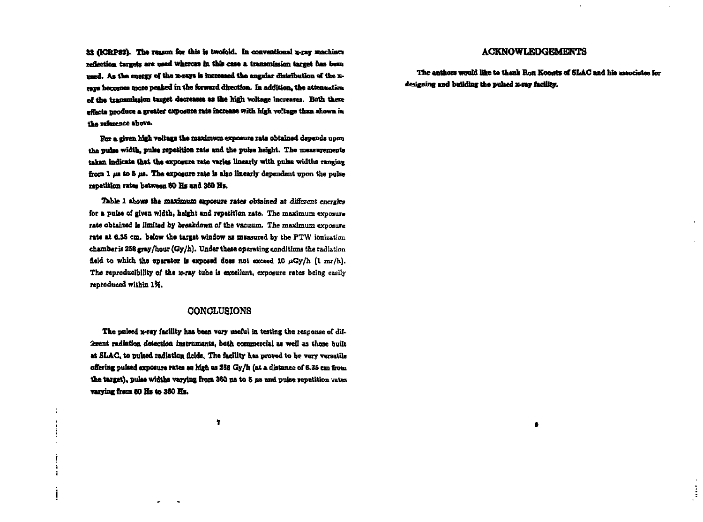33 (ICBP82). The reason for this is twofold. In conventional x-ray machines **reflection targets; a n used whereas la thfe «an a. transmission target baa been**  med. As the energy of the x-rays is increased the angular distribution of the xrays becomes more peaked in the forward direction. In addition, the attenuation of the transmission target decreases as the high voltage increases. Both these effects produce a greater exposure rate increase with high voltage than shown in **the reference above.** 

**Ear a given high voltage the maximum exposure rate obtained depends upon the pulse width, pulse repetition rate and the pulse height. The measurements taken indicate that the exposure rate varies linearly with pulse widths ranging**  from 1  $\mu$ **B is. The exposure rate is also linearly dependent upon the pulse repetition rates between 60 Hz and 360 Hi.** 

**Table 1 shows the maximum exposure rates obtained at different energies**  for a pulse of given width, height and repetition rate. The maximum exposure rate obtained is limited by breakdown of the vacuum. The maximum exposure **rate at 6.35 cm. below the target window as measured by the PTW ionization**  chamber is 258 gray/hour (Gy/h). Under these operating conditions the radiation field to which the operator is exposed does not exceed 10  $\mu$ Gy/h (1 mr/h). **The reproducibility of the x-ray tube is excellent, exposure rates being easily reproduced within 1ft.** 

## **CONCLUSIONS**

The pulsed x-ray facility has been very useful in testing the response of dif**ferent radiation detection instruments, bath commercial as well as those built at SLAC, to puked radiation fields, The facility has proved to be very versatile offering pulsed exposure rates as high as 258 Gy/h (at a distance of 6.35 cm from**  the target), pulse widths varying from 360 ns to 5 us and pulse repetition vates **varying from 60 Hz to 360 Hz.** 

## **ACKNOWLEDGEMENTS**

The authors would like to thank **Ron Koonts of SLAC** and his associates for **designing and building the pulsed x-ray facility.** 

**•** 

÷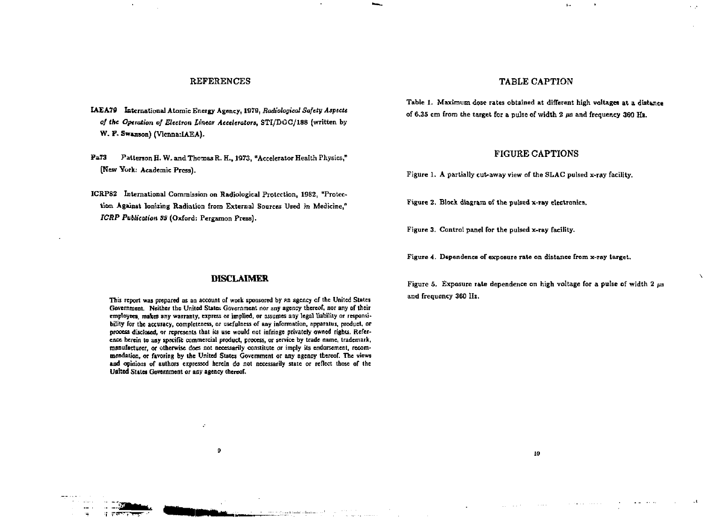## REFERENCES

- **IAEA79 International Atomic Eneigy Agency, 1879,** *Radiological Safety Aspects o! the* **Operation** *of Electron linear Accelerators,* **STI/DOG/188 (written by**  W. P. Swanson) (Vicnna: LAEA).
- **Pa73 Patterson H. W. and Thomas R. H., 1973, "Accelerator Health Physics," [New York; Academic Press).**
- **ICRPS2 International Commission on Radiological Protection, 1982, "Protection Against Ionizing Radiation from External Sources Used in Medicine,"**  *ICRP Publication SS* **(Oxford: Pergamon Press).**

#### TABLE CAPTION

 $\mathbf{b}$  .

A. A

**Table 1. Maximum dose rates obtained at different high voltages at a distance of 6.35 cm from the target for a pulse of width 2 us and frequency 360 Hz.** 

#### FIGURE CAPTIONS

**Figure 1. A partially cut-away view of the SLAC pulsed x-ray facility.** 

Figure 2. Block diagram of the pulsed x-ray electronics.

**Figure 3, Control panel for the pulsed x-ray facility.** 

**Figure 4. Dependence of exposure rate on distance from x-ray target.** 

Figure 5. Exposure rate dependence on high voltage for a pulse of width 2  $\mu$ s **and frequency 360 Hz.** 

*LQ* 

and and contacts

and the company of

#### **DISCLAIMER**

**This report was prepared as an account of work sponsored by an agency of the United Slates**  Government. Neither the United States Government nor any agency thereof, nor any of their **employees, makes any warranty, express or implied, or assumes any legal liability or responsibility for the accuracy, completeness, or usefulness of any information, apparatus, product, or**  process disclosed, or represents that its use would not infringe privately owned rights. Refer**ence herein to any specific commercial product, process, or service by trade name, trademark, manufacturer, or otherwise does not necessarily constitute or imply its endorsement, recommendation, or favoring by Uie United States Government or any agency thereof. The views and opinions of authors expressed herein do not necessarily state or reflect those of the United States Government or any agency thereof.** 

 $\mathbf{9}$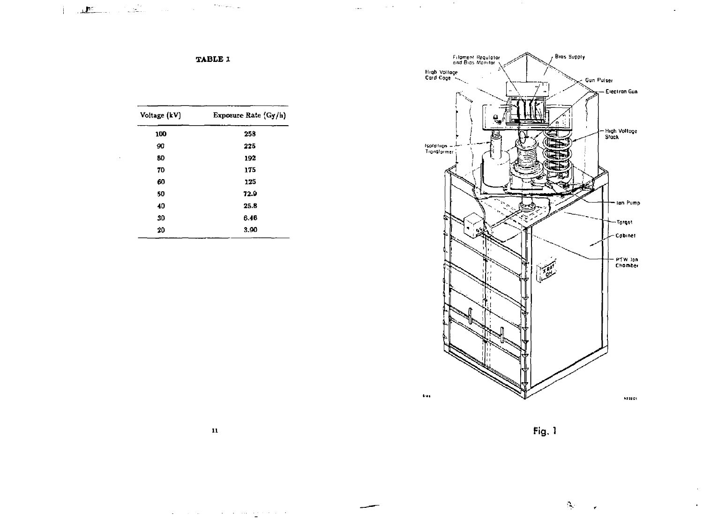

 $\mathbf{r}$ 

 $\mathbf{r}$ 

TABLE 1

التواريسيات

 $\sim 120$  and  $\sim 10^{11}$  and  $\sim 10^{11}$  and  $\sim 10^{11}$ 

 $\sim$ 

 $\label{eq:3.1} \frac{1}{\left(1-\frac{1}{2}\right)^{2}}\sum_{i=1}^{2}\frac{1}{\left(1-\frac{1}{2}\right)^{2}}\sum_{i=1}^{2}\frac{1}{\left(1-\frac{1}{2}\right)^{2}}\sum_{i=1}^{2}\frac{1}{\left(1-\frac{1}{2}\right)^{2}}\sum_{i=1}^{2}\frac{1}{\left(1-\frac{1}{2}\right)^{2}}\sum_{i=1}^{2}\frac{1}{\left(1-\frac{1}{2}\right)^{2}}\sum_{i=1}^{2}\frac{1}{\left(1-\frac{1}{2}\right)^{2}}\sum_{i=1}^{2}\$ 

 $\mathcal{L}$ 

| Voltage (kV) | Exposure Rate (Gy/h) |
|--------------|----------------------|
| 100          | 258                  |
| 90           | 225                  |
| 80           | 192                  |
| 70           | 175                  |
| 60           | 125                  |
| 50           | 72.9                 |
| 40           | 25.8                 |
| 30           | 6.46                 |
| 20           | 3.90                 |
|              |                      |

Fig. 1

 $\Delta_{\rm{c}}$ 

 ${\bf 11}$ 

 $\mathcal{L}(\mathbf{r})$  , where  $\mathcal{L}(\mathbf{r})$  is the set of the space of  $\mathcal{L}(\mathbf{r})$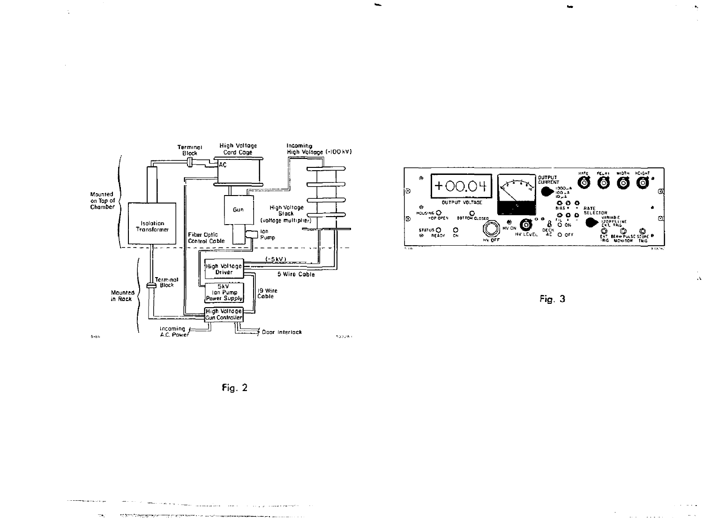

 $\Delta$ 





Fig.  $2$ 

 $\sim$ 

 $\hat{\mathbf{r}}$ 

 $\sim$  $\bar{\Lambda}$